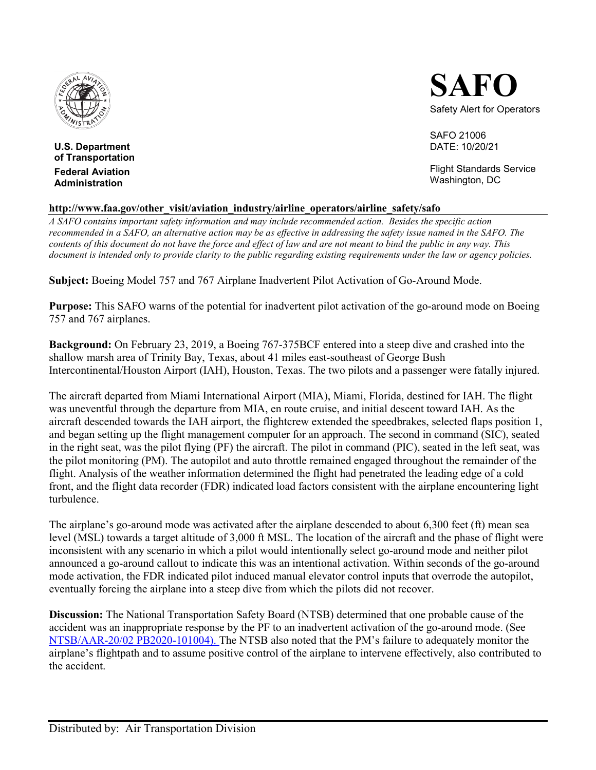

**U.S. Department of Transportation Federal Aviation Administration**



SAFO 21006 DATE: 10/20/21

Flight Standards Service Washington, DC

## **http://www.faa.gov/other\_visit/aviation\_industry/airline\_operators/airline\_safety/safo**

*A SAFO contains important safety information and may include recommended action. Besides the specific action recommended in a SAFO, an alternative action may be as effective in addressing the safety issue named in the SAFO. The contents of this document do not have the force and effect of law and are not meant to bind the public in any way. This document is intended only to provide clarity to the public regarding existing requirements under the law or agency policies.*

**Subject:** Boeing Model 757 and 767 Airplane Inadvertent Pilot Activation of Go-Around Mode.

**Purpose:** This SAFO warns of the potential for inadvertent pilot activation of the go-around mode on Boeing 757 and 767 airplanes.

**Background:** On February 23, 2019, a Boeing 767-375BCF entered into a steep dive and crashed into the shallow marsh area of Trinity Bay, Texas, about 41 miles east-southeast of George Bush Intercontinental/Houston Airport (IAH), Houston, Texas. The two pilots and a passenger were fatally injured.

The aircraft departed from Miami International Airport (MIA), Miami, Florida, destined for IAH. The flight was uneventful through the departure from MIA, en route cruise, and initial descent toward IAH. As the aircraft descended towards the IAH airport, the flightcrew extended the speedbrakes, selected flaps position 1, and began setting up the flight management computer for an approach. The second in command (SIC), seated in the right seat, was the pilot flying (PF) the aircraft. The pilot in command (PIC), seated in the left seat, was the pilot monitoring (PM). The autopilot and auto throttle remained engaged throughout the remainder of the flight. Analysis of the weather information determined the flight had penetrated the leading edge of a cold front, and the flight data recorder (FDR) indicated load factors consistent with the airplane encountering light turbulence.

The airplane's go-around mode was activated after the airplane descended to about 6,300 feet (ft) mean sea level (MSL) towards a target altitude of 3,000 ft MSL. The location of the aircraft and the phase of flight were inconsistent with any scenario in which a pilot would intentionally select go-around mode and neither pilot announced a go-around callout to indicate this was an intentional activation. Within seconds of the go-around mode activation, the FDR indicated pilot induced manual elevator control inputs that overrode the autopilot, eventually forcing the airplane into a steep dive from which the pilots did not recover.

**Discussion:** The National Transportation Safety Board (NTSB) determined that one probable cause of the accident was an inappropriate response by the PF to an inadvertent activation of the go-around mode. (See [NTSB/AAR-20/02 PB2020-101004\)](https://www.ntsb.gov/investigations/AccidentReports/Reports/AAR2002.pdf#search=AAR%2D20%2F02%20PB2020%2D101004). The NTSB also noted that the PM's failure to adequately monitor the airplane's flightpath and to assume positive control of the airplane to intervene effectively, also contributed to the accident.